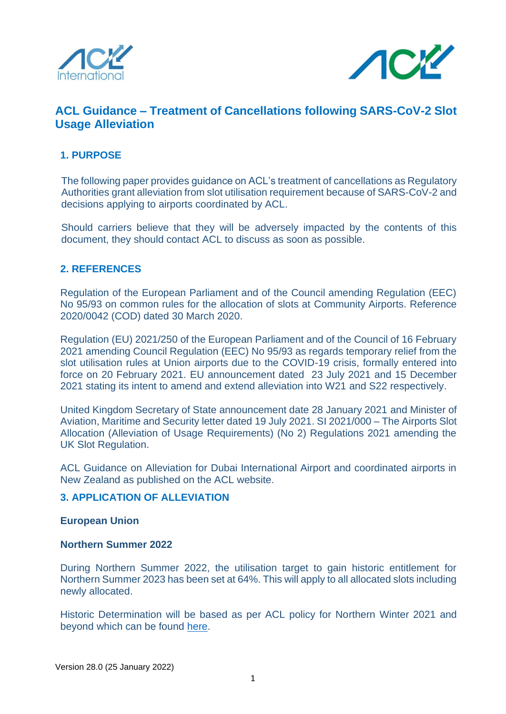



# **ACL Guidance – Treatment of Cancellations following SARS-CoV-2 Slot Usage Alleviation**

## **1. PURPOSE**

The following paper provides guidance on ACL's treatment of cancellations as Regulatory Authorities grant alleviation from slot utilisation requirement because of SARS-CoV-2 and decisions applying to airports coordinated by ACL.

Should carriers believe that they will be adversely impacted by the contents of this document, they should contact ACL to discuss as soon as possible.

## **2. REFERENCES**

Regulation of the European Parliament and of the Council amending Regulation (EEC) No 95/93 on common rules for the allocation of slots at Community Airports. Reference 2020/0042 (COD) dated 30 March 2020.

Regulation (EU) 2021/250 of the European Parliament and of the Council of 16 February 2021 amending Council Regulation (EEC) No 95/93 as regards temporary relief from the slot utilisation rules at Union airports due to the COVID-19 crisis, formally entered into force on 20 February 2021. EU announcement dated 23 July 2021 and 15 December 2021 stating its intent to amend and extend alleviation into W21 and S22 respectively.

United Kingdom Secretary of State announcement date 28 January 2021 and Minister of Aviation, Maritime and Security letter dated 19 July 2021. SI 2021/000 – The Airports Slot Allocation (Alleviation of Usage Requirements) (No 2) Regulations 2021 amending the UK Slot Regulation.

ACL Guidance on Alleviation for Dubai International Airport and coordinated airports in New Zealand as published on the ACL website.

## **3. APPLICATION OF ALLEVIATION**

#### **European Union**

#### **Northern Summer 2022**

During Northern Summer 2022, the utilisation target to gain historic entitlement for Northern Summer 2023 has been set at 64%. This will apply to all allocated slots including newly allocated.

Historic Determination will be based as per ACL policy for Northern Winter 2021 and beyond which can be found [here.](https://www.acl-uk.org/wp-content/uploads/2021/04/Guidance-to-Historic-Determination-at-Level-3-Airports-Final-V3-26APRIL21.pdf)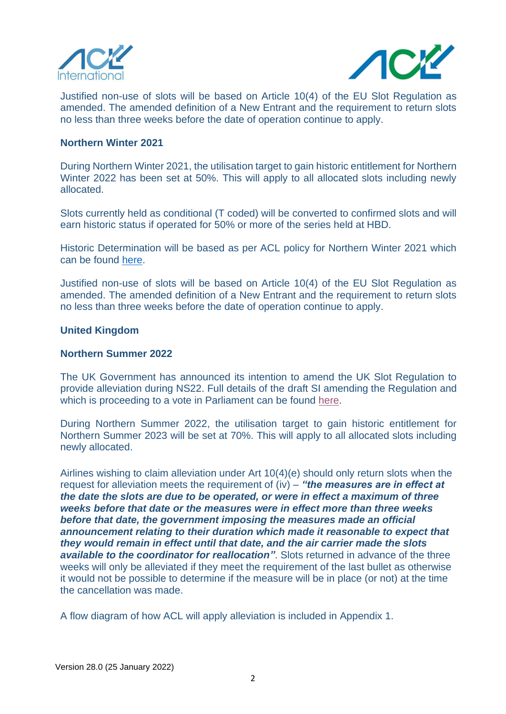



Justified non-use of slots will be based on Article 10(4) of the EU Slot Regulation as amended. The amended definition of a New Entrant and the requirement to return slots no less than three weeks before the date of operation continue to apply.

#### **Northern Winter 2021**

During Northern Winter 2021, the utilisation target to gain historic entitlement for Northern Winter 2022 has been set at 50%. This will apply to all allocated slots including newly allocated.

Slots currently held as conditional (T coded) will be converted to confirmed slots and will earn historic status if operated for 50% or more of the series held at HBD.

Historic Determination will be based as per ACL policy for Northern Winter 2021 which can be found [here.](https://www.acl-uk.org/wp-content/uploads/2021/04/Guidance-to-Historic-Determination-at-Level-3-Airports-Final-V3-26APRIL21.pdf)

Justified non-use of slots will be based on Article 10(4) of the EU Slot Regulation as amended. The amended definition of a New Entrant and the requirement to return slots no less than three weeks before the date of operation continue to apply.

#### **United Kingdom**

#### **Northern Summer 2022**

The UK Government has announced its intention to amend the UK Slot Regulation to provide alleviation during NS22. Full details of the draft SI amending the Regulation and which is proceeding to a vote in Parliament can be found [here.](https://linkprotect.cudasvc.com/url?a=https%3a%2f%2fwww.legislation.gov.uk%2fukdsi%2f2022%2f9780348231403&c=E,1,q0xbGPp1WsqdhZ54zBy2j8u5X43yi002blyGwIhPmF2hr2Vut6lYav1uzqNMtRKNIHD-2chT4_XeYeHWhQ7NxdFCM7C84HrFT4bJu1hJ3K5VPbk,&typo=1)

During Northern Summer 2022, the utilisation target to gain historic entitlement for Northern Summer 2023 will be set at 70%. This will apply to all allocated slots including newly allocated.

Airlines wishing to claim alleviation under Art 10(4)(e) should only return slots when the request for alleviation meets the requirement of (iv) – *"the measures are in effect at the date the slots are due to be operated, or were in effect a maximum of three weeks before that date or the measures were in effect more than three weeks before that date, the government imposing the measures made an official announcement relating to their duration which made it reasonable to expect that they would remain in effect until that date, and the air carrier made the slots available to the coordinator for reallocation"*. Slots returned in advance of the three weeks will only be alleviated if they meet the requirement of the last bullet as otherwise it would not be possible to determine if the measure will be in place (or not) at the time the cancellation was made.

A flow diagram of how ACL will apply alleviation is included in Appendix 1.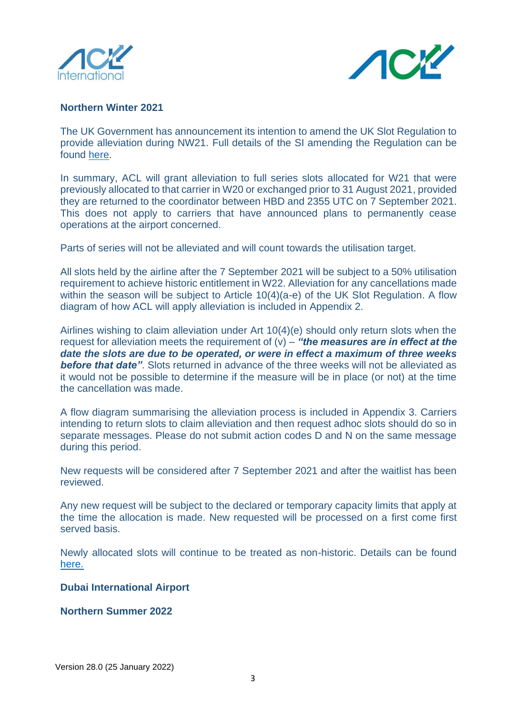



## **Northern Winter 2021**

The UK Government has announcement its intention to amend the UK Slot Regulation to provide alleviation during NW21. Full details of the SI amending the Regulation can be found [here.](https://www.legislation.gov.uk/ukdsi/2021/9780348226133/contents)

In summary, ACL will grant alleviation to full series slots allocated for W21 that were previously allocated to that carrier in W20 or exchanged prior to 31 August 2021, provided they are returned to the coordinator between HBD and 2355 UTC on 7 September 2021. This does not apply to carriers that have announced plans to permanently cease operations at the airport concerned.

Parts of series will not be alleviated and will count towards the utilisation target.

All slots held by the airline after the 7 September 2021 will be subject to a 50% utilisation requirement to achieve historic entitlement in W22. Alleviation for any cancellations made within the season will be subject to Article 10(4)(a-e) of the UK Slot Regulation. A flow diagram of how ACL will apply alleviation is included in Appendix 2.

Airlines wishing to claim alleviation under Art 10(4)(e) should only return slots when the request for alleviation meets the requirement of (v) – *"the measures are in effect at the date the slots are due to be operated, or were in effect a maximum of three weeks*  **before that date"**. Slots returned in advance of the three weeks will not be alleviated as it would not be possible to determine if the measure will be in place (or not) at the time the cancellation was made.

A flow diagram summarising the alleviation process is included in Appendix 3. Carriers intending to return slots to claim alleviation and then request adhoc slots should do so in separate messages. Please do not submit action codes D and N on the same message during this period.

New requests will be considered after 7 September 2021 and after the waitlist has been reviewed.

Any new request will be subject to the declared or temporary capacity limits that apply at the time the allocation is made. New requested will be processed on a first come first served basis.

Newly allocated slots will continue to be treated as non-historic. Details can be found [here.](https://www.acl-uk.org/wp-content/uploads/2021/07/Guidance-on-conditional-offers-for-slots-wo-prior-hist-precedence-in-W20_V6-1.pdf) 

## **Dubai International Airport**

#### **Northern Summer 2022**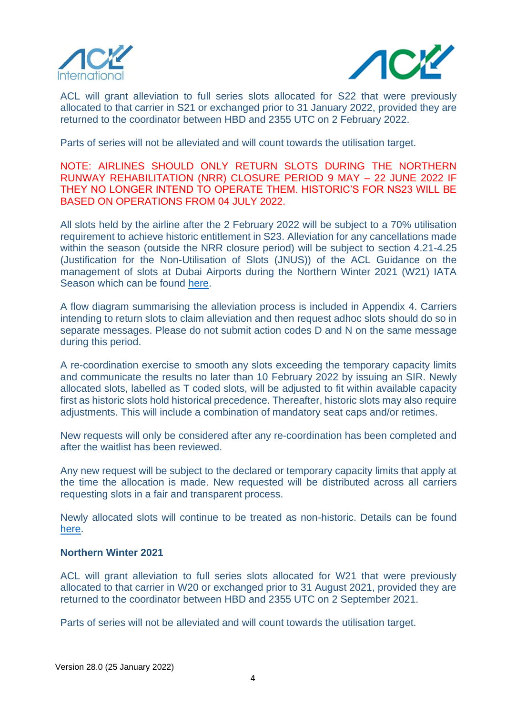



ACL will grant alleviation to full series slots allocated for S22 that were previously allocated to that carrier in S21 or exchanged prior to 31 January 2022, provided they are returned to the coordinator between HBD and 2355 UTC on 2 February 2022.

Parts of series will not be alleviated and will count towards the utilisation target.

NOTE: AIRLINES SHOULD ONLY RETURN SLOTS DURING THE NORTHERN RUNWAY REHABILITATION (NRR) CLOSURE PERIOD 9 MAY – 22 JUNE 2022 IF THEY NO LONGER INTEND TO OPERATE THEM. HISTORIC'S FOR NS23 WILL BE BASED ON OPERATIONS FROM 04 JULY 2022.

All slots held by the airline after the 2 February 2022 will be subject to a 70% utilisation requirement to achieve historic entitlement in S23. Alleviation for any cancellations made within the season (outside the NRR closure period) will be subject to section 4.21-4.25 (Justification for the Non-Utilisation of Slots (JNUS)) of the ACL Guidance on the management of slots at Dubai Airports during the Northern Winter 2021 (W21) IATA Season which can be found [here.](https://www.acl-uk.org/wp-content/uploads/2021/12/S22-DXB-Slot-Management-Process-V2.pdf)

A flow diagram summarising the alleviation process is included in Appendix 4. Carriers intending to return slots to claim alleviation and then request adhoc slots should do so in separate messages. Please do not submit action codes D and N on the same message during this period.

A re-coordination exercise to smooth any slots exceeding the temporary capacity limits and communicate the results no later than 10 February 2022 by issuing an SIR. Newly allocated slots, labelled as T coded slots, will be adjusted to fit within available capacity first as historic slots hold historical precedence. Thereafter, historic slots may also require adjustments. This will include a combination of mandatory seat caps and/or retimes.

New requests will only be considered after any re-coordination has been completed and after the waitlist has been reviewed.

Any new request will be subject to the declared or temporary capacity limits that apply at the time the allocation is made. New requested will be distributed across all carriers requesting slots in a fair and transparent process.

Newly allocated slots will continue to be treated as non-historic. Details can be found [here.](https://www.acl-uk.org/wp-content/uploads/2021/12/Guidance-on-conditional-offers-for-slots-wo-prior-hist-precedence-in-W21_S22_V7.pdf)

### **Northern Winter 2021**

ACL will grant alleviation to full series slots allocated for W21 that were previously allocated to that carrier in W20 or exchanged prior to 31 August 2021, provided they are returned to the coordinator between HBD and 2355 UTC on 2 September 2021.

Parts of series will not be alleviated and will count towards the utilisation target.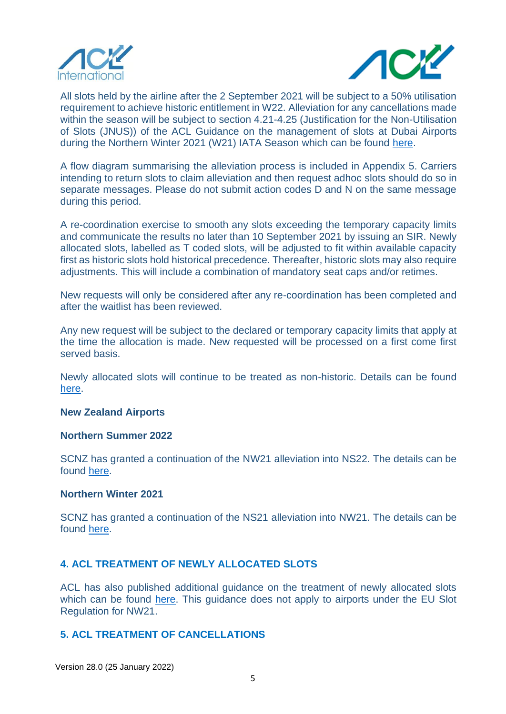



All slots held by the airline after the 2 September 2021 will be subject to a 50% utilisation requirement to achieve historic entitlement in W22. Alleviation for any cancellations made within the season will be subject to section 4.21-4.25 (Justification for the Non-Utilisation of Slots (JNUS)) of the ACL Guidance on the management of slots at Dubai Airports during the Northern Winter 2021 (W21) IATA Season which can be found [here.](https://www.acl-uk.org/wp-content/uploads/2021/08/W21-DXB-Slot-Management-Process-V2-02AUG21.pdf)

A flow diagram summarising the alleviation process is included in Appendix 5. Carriers intending to return slots to claim alleviation and then request adhoc slots should do so in separate messages. Please do not submit action codes D and N on the same message during this period.

A re-coordination exercise to smooth any slots exceeding the temporary capacity limits and communicate the results no later than 10 September 2021 by issuing an SIR. Newly allocated slots, labelled as T coded slots, will be adjusted to fit within available capacity first as historic slots hold historical precedence. Thereafter, historic slots may also require adjustments. This will include a combination of mandatory seat caps and/or retimes.

New requests will only be considered after any re-coordination has been completed and after the waitlist has been reviewed.

Any new request will be subject to the declared or temporary capacity limits that apply at the time the allocation is made. New requested will be processed on a first come first served basis.

Newly allocated slots will continue to be treated as non-historic. Details can be found [here.](https://www.acl-uk.org/wp-content/uploads/2021/12/Guidance-on-conditional-offers-for-slots-wo-prior-hist-precedence-in-W21_S22_V7.pdf)

#### **New Zealand Airports**

#### **Northern Summer 2022**

SCNZ has granted a continuation of the NW21 alleviation into NS22. The details can be found [here.](https://www.acl-uk.org/wp-content/uploads/2021/12/SCNZL-NS22-Slot-Alleviation-Decision.pdf)

#### **Northern Winter 2021**

SCNZ has granted a continuation of the NS21 alleviation into NW21. The details can be found [here.](https://www.acl-uk.org/wp-content/uploads/2021/06/SCNZL-NW21-Slot-Alleviation-Decision.pdf)

## **4. ACL TREATMENT OF NEWLY ALLOCATED SLOTS**

ACL has also published additional guidance on the treatment of newly allocated slots which can be found [here.](https://www.acl-uk.org/wp-content/uploads/2021/12/Guidance-on-conditional-offers-for-slots-wo-prior-hist-precedence-in-W21_S22_V7.pdf) This guidance does not apply to airports under the EU Slot Regulation for NW21.

#### **5. ACL TREATMENT OF CANCELLATIONS**

Version 28.0 (25 January 2022)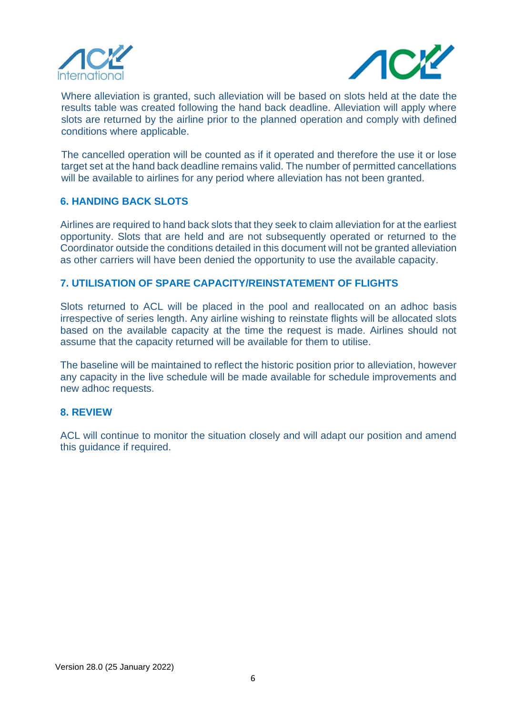



Where alleviation is granted, such alleviation will be based on slots held at the date the results table was created following the hand back deadline. Alleviation will apply where slots are returned by the airline prior to the planned operation and comply with defined conditions where applicable.

The cancelled operation will be counted as if it operated and therefore the use it or lose target set at the hand back deadline remains valid. The number of permitted cancellations will be available to airlines for any period where alleviation has not been granted.

## **6. HANDING BACK SLOTS**

Airlines are required to hand back slots that they seek to claim alleviation for at the earliest opportunity. Slots that are held and are not subsequently operated or returned to the Coordinator outside the conditions detailed in this document will not be granted alleviation as other carriers will have been denied the opportunity to use the available capacity.

## **7. UTILISATION OF SPARE CAPACITY/REINSTATEMENT OF FLIGHTS**

Slots returned to ACL will be placed in the pool and reallocated on an adhoc basis irrespective of series length. Any airline wishing to reinstate flights will be allocated slots based on the available capacity at the time the request is made. Airlines should not assume that the capacity returned will be available for them to utilise.

The baseline will be maintained to reflect the historic position prior to alleviation, however any capacity in the live schedule will be made available for schedule improvements and new adhoc requests.

## **8. REVIEW**

ACL will continue to monitor the situation closely and will adapt our position and amend this guidance if required.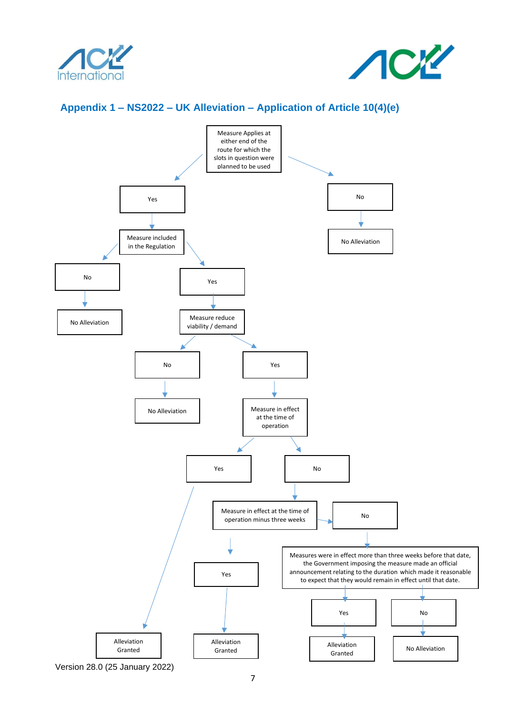



## **Appendix 1 – NS2022 – UK Alleviation – Application of Article 10(4)(e)**

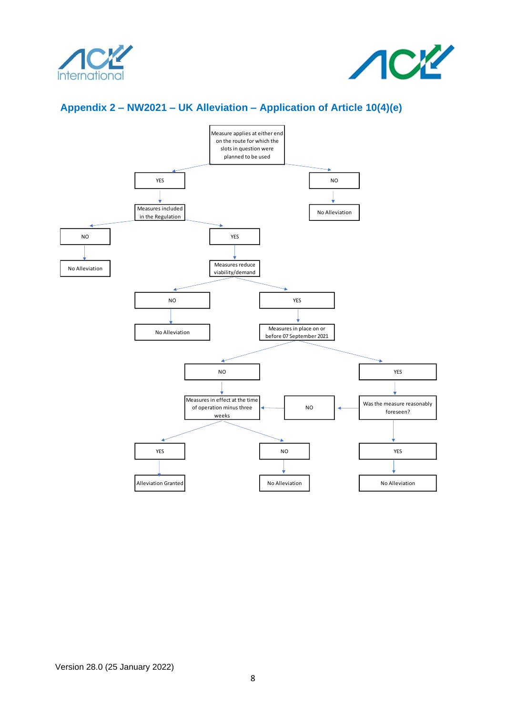



# **Appendix 2 – NW2021 – UK Alleviation – Application of Article 10(4)(e)**



Version 28.0 (25 January 2022)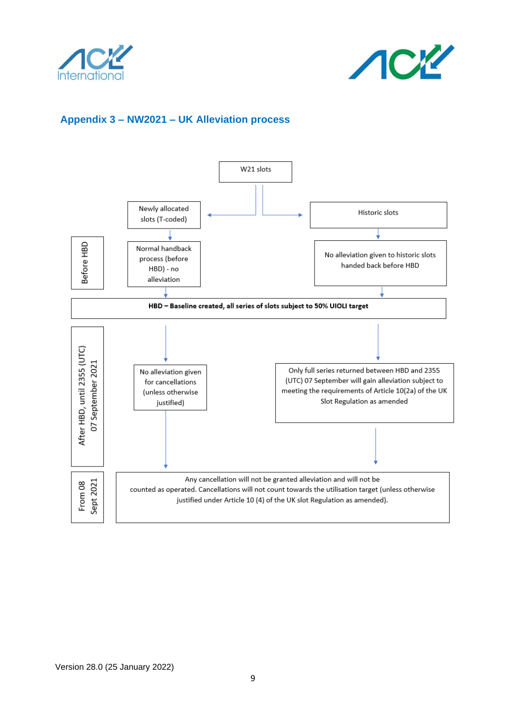



# **Appendix 3 – NW2021 – UK Alleviation process**

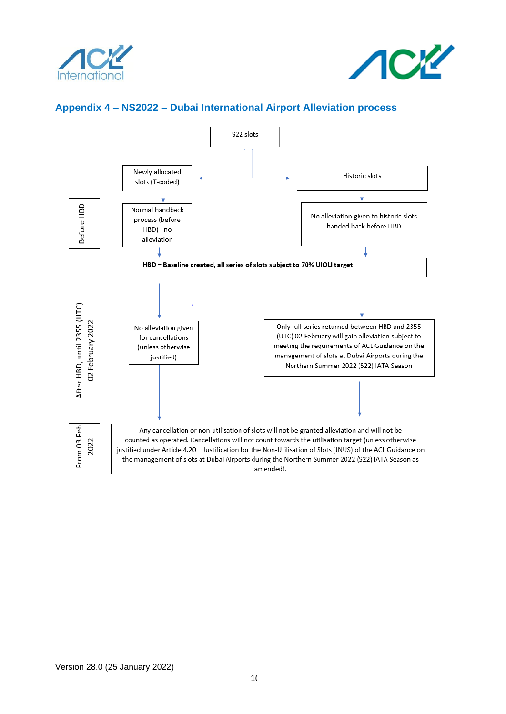



## **Appendix 4 – NS2022 – Dubai International Airport Alleviation process**